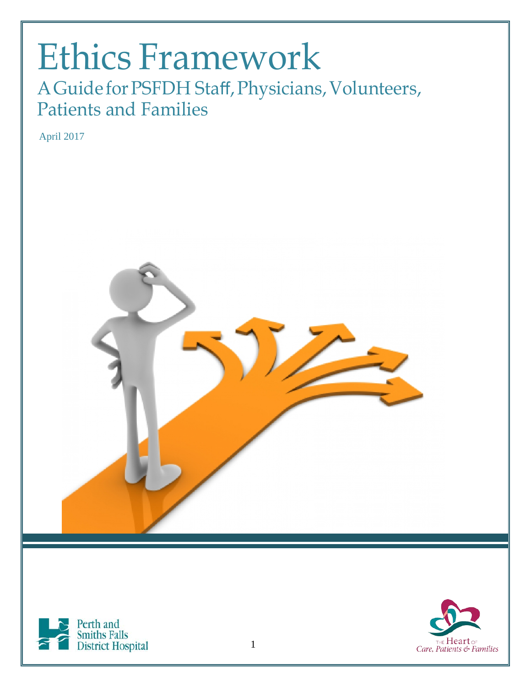### Ethics Framework AGuide forPSFDH Staff,Physicians, Volunteers, Patients and Families

April 2017





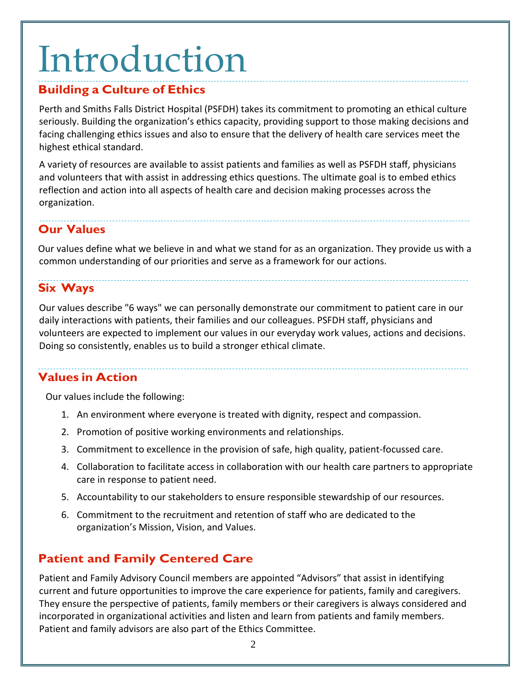# Introduction

#### **Building a Culture of Ethics**

Perth and Smiths Falls District Hospital (PSFDH) takes its commitment to promoting an ethical culture seriously. Building the organization's ethics capacity, providing support to those making decisions and facing challenging ethics issues and also to ensure that the delivery of health care services meet the highest ethical standard.

A variety of resources are available to assist patients and families as well as PSFDH staff, physicians and volunteers that with assist in addressing ethics questions. The ultimate goal is to embed ethics reflection and action into all aspects of health care and decision making processes across the organization.

### **Our Values**

Our values define what we believe in and what we stand for as an organization. They provide us with a common understanding of our priorities and serve as a framework for our actions.

#### **Six Ways**

Our values describe "6 ways" we can personally demonstrate our commitment to patient care in our daily interactions with patients, their families and our colleagues. PSFDH staff, physicians and volunteers are expected to implement our values in our everyday work values, actions and decisions. Doing so consistently, enables us to build a stronger ethical climate.

#### **Values in Action**

Our values include the following:

- 1. An environment where everyone is treated with dignity, respect and compassion.
- 2. Promotion of positive working environments and relationships.
- 3. Commitment to excellence in the provision of safe, high quality, patient-focussed care.
- 4. Collaboration to facilitate access in collaboration with our health care partners to appropriate care in response to patient need.
- 5. Accountability to our stakeholders to ensure responsible stewardship of our resources.
- 6. Commitment to the recruitment and retention of staff who are dedicated to the organization's Mission, Vision, and Values.

### **Patient and Family Centered Care**

Patient and Family Advisory Council members are appointed "Advisors" that assist in identifying current and future opportunities to improve the care experience for patients, family and caregivers. They ensure the perspective of patients, family members or their caregivers is always considered and incorporated in organizational activities and listen and learn from patients and family members. Patient and family advisors are also part of the Ethics Committee.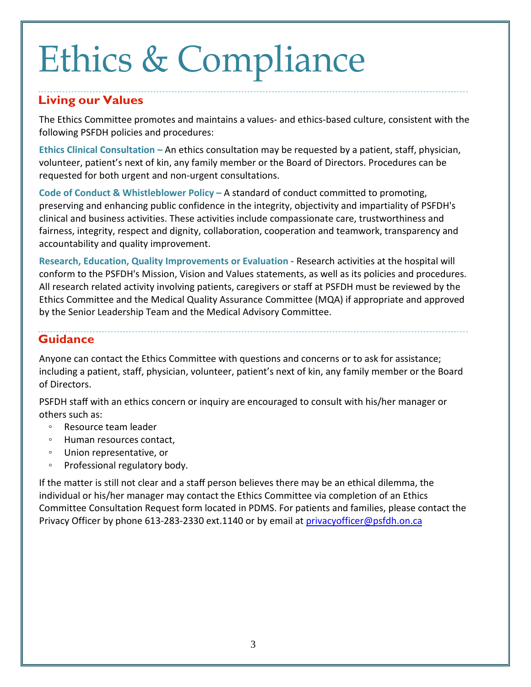# Ethics & Compliance

#### **Living our Values**

The Ethics Committee promotes and maintains a values- and ethics-based culture, consistent with the following PSFDH policies and procedures:

**Ethics Clinical Consultation –** An ethics consultation may be requested by a patient, staff, physician, volunteer, patient's next of kin, any family member or the Board of Directors. Procedures can be requested for both urgent and non-urgent consultations.

**Code of Conduct & Whistleblower Policy –** A standard of conduct committed to promoting, preserving and enhancing public confidence in the integrity, objectivity and impartiality of PSFDH's clinical and business activities. These activities include compassionate care, trustworthiness and fairness, integrity, respect and dignity, collaboration, cooperation and teamwork, transparency and accountability and quality improvement.

**Research, Education, Quality Improvements or Evaluation** - Research activities at the hospital will conform to the PSFDH's Mission, Vision and Values statements, as well as its policies and procedures. All research related activity involving patients, caregivers or staff at PSFDH must be reviewed by the Ethics Committee and the Medical Quality Assurance Committee (MQA) if appropriate and approved by the Senior Leadership Team and the Medical Advisory Committee.

### **Guidance**

Anyone can contact the Ethics Committee with questions and concerns or to ask for assistance; including a patient, staff, physician, volunteer, patient's next of kin, any family member or the Board of Directors.

PSFDH staff with an ethics concern or inquiry are encouraged to consult with his/her manager or others such as:

- Resource team leader
- Human resources contact,
- Union representative, or
- Professional regulatory body.

If the matter is still not clear and a staff person believes there may be an ethical dilemma, the individual or his/her manager may contact the Ethics Committee via completion of an Ethics Committee Consultation Request form located in PDMS. For patients and families, please contact the Privacy Officer by phone 613-283-2330 ext.1140 or by email at [privacyofficer@psfdh.on.ca](mailto:privacyofficer@psfdh.on.ca)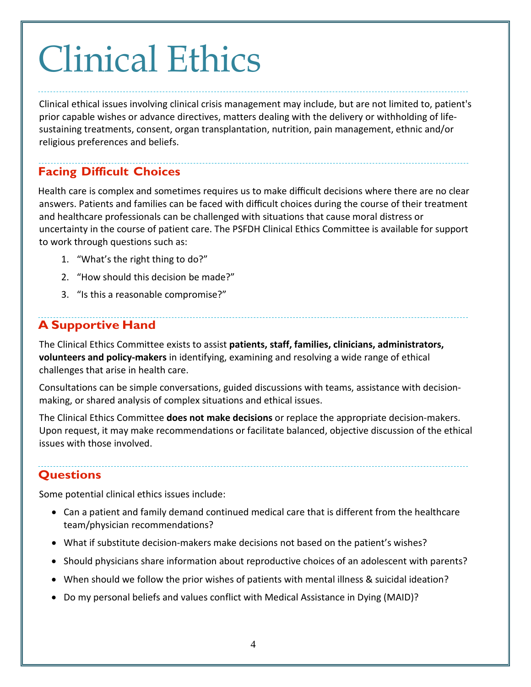# Clinical Ethics

Clinical ethical issues involving clinical crisis management may include, but are not limited to, patient's prior capable wishes or advance directives, matters dealing with the delivery or withholding of lifesustaining treatments, consent, organ transplantation, nutrition, pain management, ethnic and/or religious preferences and beliefs.

### **Facing Difficult Choices**

Health care is complex and sometimes requires us to make difficult decisions where there are no clear answers. Patients and families can be faced with difficult choices during the course of their treatment and healthcare professionals can be challenged with situations that cause moral distress or uncertainty in the course of patient care. The PSFDH Clinical Ethics Committee is available for support to work through questions such as:

- 1. "What's the right thing to do?"
- 2. "How should this decision be made?"
- 3. "Is this a reasonable compromise?"

### **A Supportive Hand**

The Clinical Ethics Committee exists to assist **patients, staff, families, clinicians, administrators, volunteers and policy-makers** in identifying, examining and resolving a wide range of ethical challenges that arise in health care.

Consultations can be simple conversations, guided discussions with teams, assistance with decisionmaking, or shared analysis of complex situations and ethical issues.

The Clinical Ethics Committee **does not make decisions** or replace the appropriate decision-makers. Upon request, it may make recommendations or facilitate balanced, objective discussion of the ethical issues with those involved.

#### **Questions**

Some potential clinical ethics issues include:

- Can a patient and family demand continued medical care that is different from the healthcare team/physician recommendations?
- What if substitute decision-makers make decisions not based on the patient's wishes?
- Should physicians share information about reproductive choices of an adolescent with parents?
- When should we follow the prior wishes of patients with mental illness & suicidal ideation?
- Do my personal beliefs and values conflict with Medical Assistance in Dying (MAID)?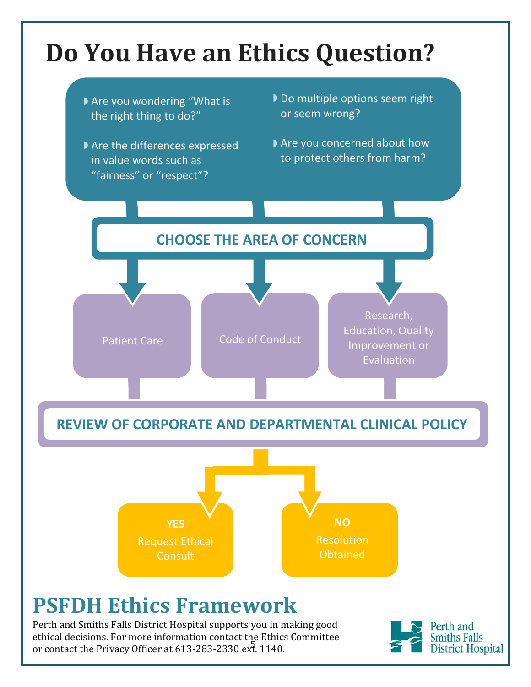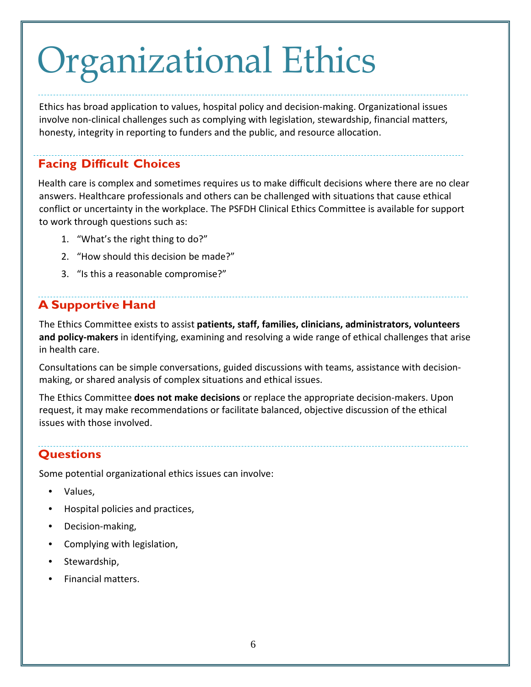# Organizational Ethics

Ethics has broad application to values, hospital policy and decision-making. Organizational issues involve non-clinical challenges such as complying with legislation, stewardship, financial matters, honesty, integrity in reporting to funders and the public, and resource allocation.

#### **Facing Difficult Choices**

Health care is complex and sometimes requires us to make difficult decisions where there are no clear answers. Healthcare professionals and others can be challenged with situations that cause ethical conflict or uncertainty in the workplace. The PSFDH Clinical Ethics Committee is available for support to work through questions such as:

- 1. "What's the right thing to do?"
- 2. "How should this decision be made?"
- 3. "Is this a reasonable compromise?"

#### **A Supportive Hand**

The Ethics Committee exists to assist **patients, staff, families, clinicians, administrators, volunteers and policy-makers** in identifying, examining and resolving a wide range of ethical challenges that arise in health care.

Consultations can be simple conversations, guided discussions with teams, assistance with decisionmaking, or shared analysis of complex situations and ethical issues.

The Ethics Committee **does not make decisions** or replace the appropriate decision-makers. Upon request, it may make recommendations or facilitate balanced, objective discussion of the ethical issues with those involved.

### **Questions**

Some potential organizational ethics issues can involve:

- Values,
- Hospital policies and practices,
- Decision-making,
- Complying with legislation,
- Stewardship,
- Financial matters.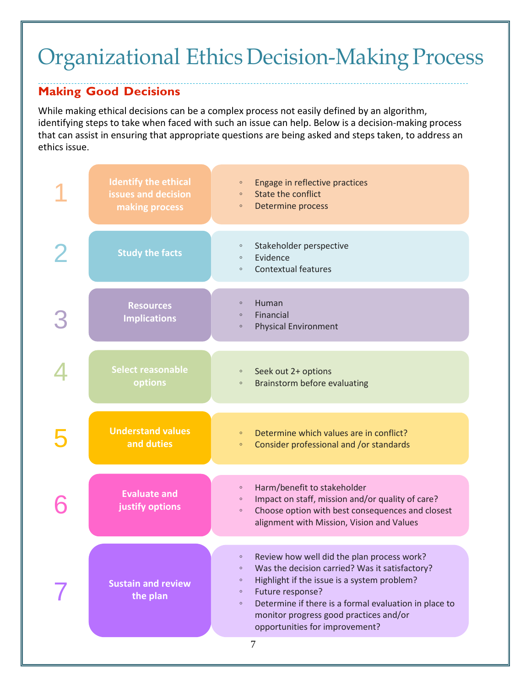### Organizational Ethics Decision-Making Process

#### **Making Good Decisions**

While making ethical decisions can be a complex process not easily defined by an algorithm, identifying steps to take when faced with such an issue can help. Below is a decision-making process that can assist in ensuring that appropriate questions are being asked and steps taken, to address an ethics issue.

| <b>Identify the ethical</b><br>issues and decision<br>making process | Engage in reflective practices<br>$\circ$<br><b>State the conflict</b><br>$\circ$<br>Determine process<br>$\circ$                                                                                                 |
|----------------------------------------------------------------------|-------------------------------------------------------------------------------------------------------------------------------------------------------------------------------------------------------------------|
| <b>Study the facts</b>                                               | Stakeholder perspective<br>$\circ$<br>Evidence<br>$\circ$<br><b>Contextual features</b><br>$\circ$                                                                                                                |
| <b>Resources</b><br><b>Implications</b>                              | Human<br>$\circ$<br>Financial<br>$\circ$<br><b>Physical Environment</b><br>$\circ$                                                                                                                                |
| Select reasonable<br>options                                         | Seek out 2+ options<br>$\circ$<br>Brainstorm before evaluating<br>$\circ$                                                                                                                                         |
|                                                                      |                                                                                                                                                                                                                   |
| <b>Understand values</b><br>and duties                               | Determine which values are in conflict?<br>$\circ$<br>Consider professional and /or standards<br>$\circ$                                                                                                          |
| <b>Evaluate and</b><br>justify options                               | Harm/benefit to stakeholder<br>$\circ$<br>Impact on staff, mission and/or quality of care?<br>$\circ$<br>Choose option with best consequences and closest<br>$\circ$<br>alignment with Mission, Vision and Values |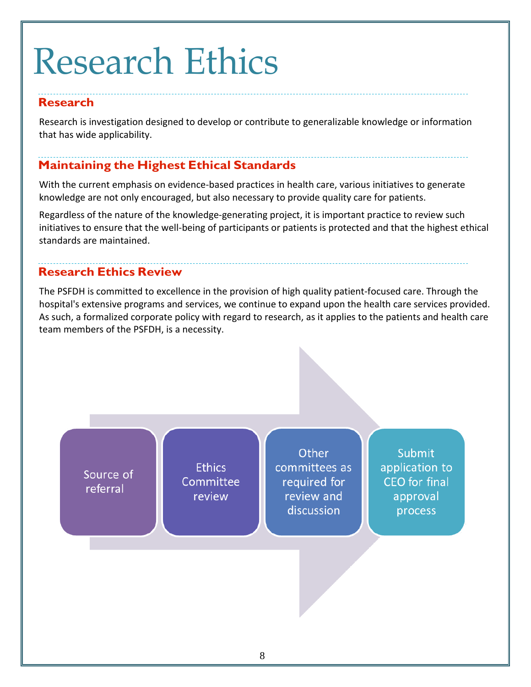# Research Ethics

#### **Research**

Research is investigation designed to develop or contribute to generalizable knowledge or information that has wide applicability.

#### **Maintaining the Highest Ethical Standards**

With the current emphasis on evidence-based practices in health care, various initiatives to generate knowledge are not only encouraged, but also necessary to provide quality care for patients.

Regardless of the nature of the knowledge-generating project, it is important practice to review such initiatives to ensure that the well-being of participants or patients is protected and that the highest ethical standards are maintained.

#### **Research Ethics Review**

The PSFDH is committed to excellence in the provision of high quality patient-focused care. Through the hospital's extensive programs and services, we continue to expand upon the health care services provided. As such, a formalized corporate policy with regard to research, as it applies to the patients and health care team members of the PSFDH, is a necessity.

Source of referral

**Ethics** Committee review

Other committees as required for review and discussion

**Submit** application to CEO for final approval process